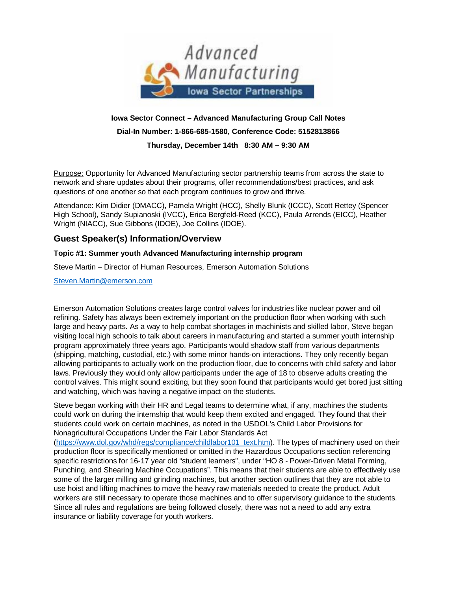

# **Iowa Sector Connect – Advanced Manufacturing Group Call Notes Dial-In Number: 1-866-685-1580, Conference Code: 5152813866 Thursday, December 14th 8:30 AM – 9:30 AM**

Purpose: Opportunity for Advanced Manufacturing sector partnership teams from across the state to network and share updates about their programs, offer recommendations/best practices, and ask questions of one another so that each program continues to grow and thrive.

Attendance: Kim Didier (DMACC), Pamela Wright (HCC), Shelly Blunk (ICCC), Scott Rettey (Spencer High School), Sandy Supianoski (IVCC), Erica Bergfeld-Reed (KCC), Paula Arrends (EICC), Heather Wright (NIACC), Sue Gibbons (IDOE), Joe Collins (IDOE).

## **Guest Speaker(s) Information/Overview**

### **Topic #1: Summer youth Advanced Manufacturing internship program**

Steve Martin – Director of Human Resources, Emerson Automation Solutions

[Steven.Martin@emerson.com](mailto:Steven.Martin@emerson.com)

Emerson Automation Solutions creates large control valves for industries like nuclear power and oil refining. Safety has always been extremely important on the production floor when working with such large and heavy parts. As a way to help combat shortages in machinists and skilled labor, Steve began visiting local high schools to talk about careers in manufacturing and started a summer youth internship program approximately three years ago. Participants would shadow staff from various departments (shipping, matching, custodial, etc.) with some minor hands-on interactions. They only recently began allowing participants to actually work on the production floor, due to concerns with child safety and labor laws. Previously they would only allow participants under the age of 18 to observe adults creating the control valves. This might sound exciting, but they soon found that participants would get bored just sitting and watching, which was having a negative impact on the students.

Steve began working with their HR and Legal teams to determine what, if any, machines the students could work on during the internship that would keep them excited and engaged. They found that their students could work on certain machines, as noted in the USDOL's Child Labor Provisions for Nonagricultural Occupations Under the Fair Labor Standards Act

[\(https://www.dol.gov/whd/regs/compliance/childlabor101\\_text.htm\)](https://www.dol.gov/whd/regs/compliance/childlabor101_text.htm). The types of machinery used on their production floor is specifically mentioned or omitted in the Hazardous Occupations section referencing specific restrictions for 16-17 year old "student learners", under "HO 8 - Power-Driven Metal Forming, Punching, and Shearing Machine Occupations". This means that their students are able to effectively use some of the larger milling and grinding machines, but another section outlines that they are not able to use hoist and lifting machines to move the heavy raw materials needed to create the product. Adult workers are still necessary to operate those machines and to offer supervisory guidance to the students. Since all rules and regulations are being followed closely, there was not a need to add any extra insurance or liability coverage for youth workers.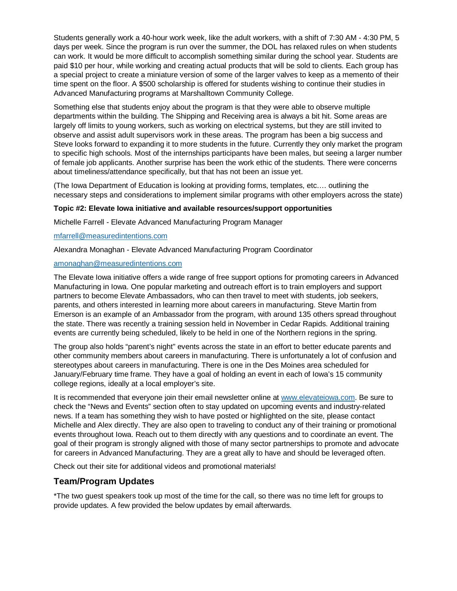Students generally work a 40-hour work week, like the adult workers, with a shift of 7:30 AM - 4:30 PM, 5 days per week. Since the program is run over the summer, the DOL has relaxed rules on when students can work. It would be more difficult to accomplish something similar during the school year. Students are paid \$10 per hour, while working and creating actual products that will be sold to clients. Each group has a special project to create a miniature version of some of the larger valves to keep as a memento of their time spent on the floor. A \$500 scholarship is offered for students wishing to continue their studies in Advanced Manufacturing programs at Marshalltown Community College.

Something else that students enjoy about the program is that they were able to observe multiple departments within the building. The Shipping and Receiving area is always a bit hit. Some areas are largely off limits to young workers, such as working on electrical systems, but they are still invited to observe and assist adult supervisors work in these areas. The program has been a big success and Steve looks forward to expanding it to more students in the future. Currently they only market the program to specific high schools. Most of the internships participants have been males, but seeing a larger number of female job applicants. Another surprise has been the work ethic of the students. There were concerns about timeliness/attendance specifically, but that has not been an issue yet.

(The Iowa Department of Education is looking at providing forms, templates, etc…. outlining the necessary steps and considerations to implement similar programs with other employers across the state)

#### **Topic #2: Elevate Iowa initiative and available resources/support opportunities**

Michelle Farrell - Elevate Advanced Manufacturing Program Manager

#### [mfarrell@measuredintentions.com](mailto:mfarrell@measuredintentions.com)

Alexandra Monaghan - Elevate Advanced Manufacturing Program Coordinator

#### [amonaghan@measuredintentions.com](mailto:amonaghan@measuredintentions.com)

The Elevate Iowa initiative offers a wide range of free support options for promoting careers in Advanced Manufacturing in Iowa. One popular marketing and outreach effort is to train employers and support partners to become Elevate Ambassadors, who can then travel to meet with students, job seekers, parents, and others interested in learning more about careers in manufacturing. Steve Martin from Emerson is an example of an Ambassador from the program, with around 135 others spread throughout the state. There was recently a training session held in November in Cedar Rapids. Additional training events are currently being scheduled, likely to be held in one of the Northern regions in the spring.

The group also holds "parent's night" events across the state in an effort to better educate parents and other community members about careers in manufacturing. There is unfortunately a lot of confusion and stereotypes about careers in manufacturing. There is one in the Des Moines area scheduled for January/February time frame. They have a goal of holding an event in each of Iowa's 15 community college regions, ideally at a local employer's site.

It is recommended that everyone join their email newsletter online at [www.elevateiowa.com.](http://www.elevateiowa.com/) Be sure to check the "News and Events" section often to stay updated on upcoming events and industry-related news. If a team has something they wish to have posted or highlighted on the site, please contact Michelle and Alex directly. They are also open to traveling to conduct any of their training or promotional events throughout Iowa. Reach out to them directly with any questions and to coordinate an event. The goal of their program is strongly aligned with those of many sector partnerships to promote and advocate for careers in Advanced Manufacturing. They are a great ally to have and should be leveraged often.

Check out their site for additional videos and promotional materials!

### **Team/Program Updates**

\*The two guest speakers took up most of the time for the call, so there was no time left for groups to provide updates. A few provided the below updates by email afterwards.